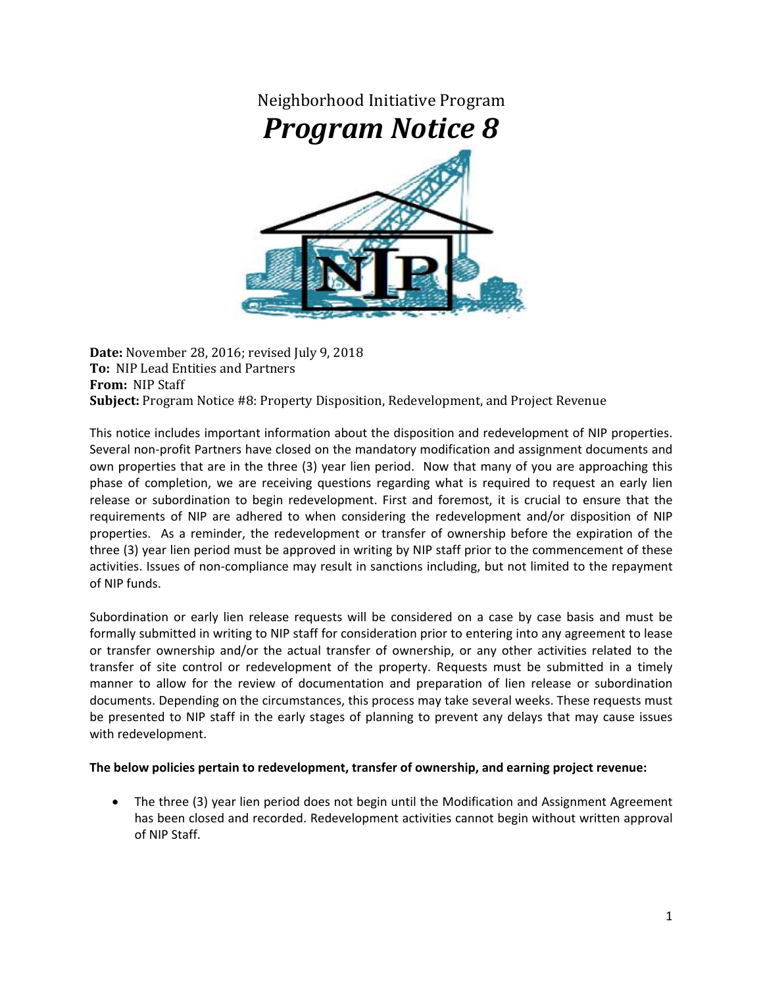

**Date:** November 28, 2016; revised July 9, 2018 **To:** NIP Lead Entities and Partners **From:** NIP Staff **Subject:** Program Notice #8: Property Disposition, Redevelopment, and Project Revenue

This notice includes important information about the disposition and redevelopment of NIP properties. Several non‐profit Partners have closed on the mandatory modification and assignment documents and own properties that are in the three (3) year lien period. Now that many of you are approaching this phase of completion, we are receiving questions regarding what is required to request an early lien release or subordination to begin redevelopment. First and foremost, it is crucial to ensure that the requirements of NIP are adhered to when considering the redevelopment and/or disposition of NIP properties. As a reminder, the redevelopment or transfer of ownership before the expiration of the three (3) year lien period must be approved in writing by NIP staff prior to the commencement of these activities. Issues of non-compliance may result in sanctions including, but not limited to the repayment of NIP funds.

Subordination or early lien release requests will be considered on a case by case basis and must be formally submitted in writing to NIP staff for consideration prior to entering into any agreement to lease or transfer ownership and/or the actual transfer of ownership, or any other activities related to the transfer of site control or redevelopment of the property. Requests must be submitted in a timely manner to allow for the review of documentation and preparation of lien release or subordination documents. Depending on the circumstances, this process may take several weeks. These requests must be presented to NIP staff in the early stages of planning to prevent any delays that may cause issues with redevelopment.

## **The below policies pertain to redevelopment, transfer of ownership, and earning project revenue:**

 The three (3) year lien period does not begin until the Modification and Assignment Agreement has been closed and recorded. Redevelopment activities cannot begin without written approval of NIP Staff.